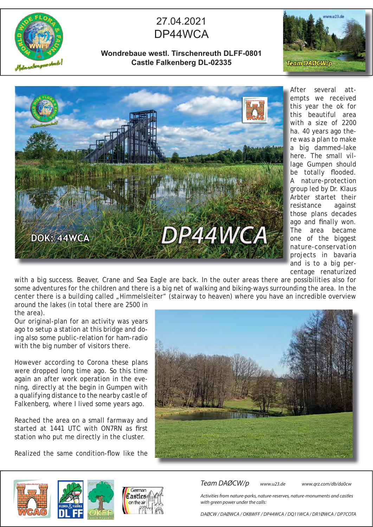

## 27.04.2021 DP44WCA

**Wondrebaue westl. Tirschenreuth DLFF-0801 Castle Falkenberg DL-02335**





several attempts we received e this year the ok for this beautiful area with a size of 2200 w ha. 40 years ago the-h re was a plan to make r a big dammed-lake a here. The small vil-h lage Gumpen should be totally flooded. A nature-protection A group led by Dr. Klaus g Arbter startet their resistance against r those plans decades ago and finally won. The area became T one of the biggest nature-conservation n projects in bavaria p and is to a big percentage renaturized After

with a big success. Beaver, Crane and Sea Eagle are back. In the outer areas there are possibilities also for some adventures for the children and there is a big net of walking and biking-ways surrounding the area. In the center there is a building called "Himmelsleiter" (stairway to heaven) where you have an incredible overview around the lakes (in total there are 2500 in

the area).

Our original-plan for an activity was years ago to setup a station at this bridge and doing also some public-relation for ham-radio with the big number of visitors there.

However according to Corona these plans were dropped long time ago. So this time again an after work operation in the evening, directly at the begin in Gumpen with a qualifying distance to the nearby castle of Falkenberg, where I lived some years ago.

Reached the area on a small farmway and started at 1441 UTC with ON7RN as first station who put me directly in the cluster.

Realized the same condition-flow like the







Team DAØCW/p www.u23.de www.qrz.com/db/da0cw

Activities from nature-parks, nature-reserves, nature-monuments and castles with green power under the calls:

DAØCW / DAØWCA / OK8WFF / DP44WCA / DQ11WCA / DR1ØWCA / DP7COTA